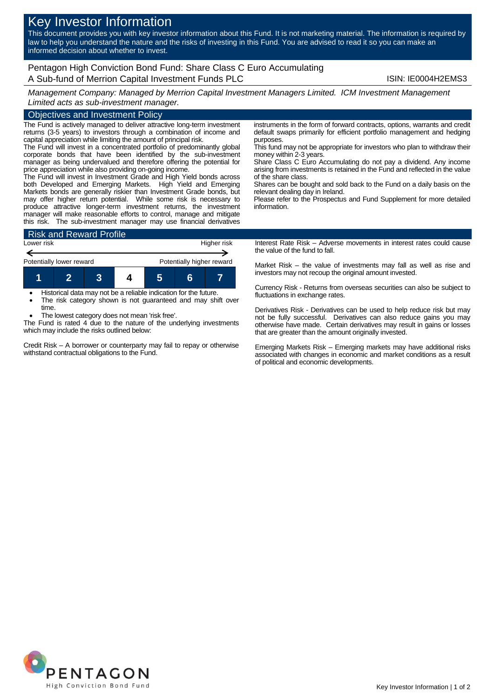# Key Investor Information

This document provides you with key investor information about this Fund. It is not marketing material. The information is required by law to help you understand the nature and the risks of investing in this Fund. You are advised to read it so you can make an informed decision about whether to invest.

## Pentagon High Conviction Bond Fund: Share Class C Euro Accumulating A Sub-fund of Merrion Capital Investment Funds PLC **ISIN: IE0004H2EMS3**

*Management Company: Managed by Merrion Capital Investment Managers Limited. ICM Investment Management Limited acts as sub-investment manager.*

### Objectives and Investment Policy

The Fund is actively managed to deliver attractive long-term investment returns (3-5 years) to investors through a combination of income and capital appreciation while limiting the amount of principal risk.

The Fund will invest in a concentrated portfolio of predominantly global corporate bonds that have been identified by the sub-investment manager as being undervalued and therefore offering the potential for price appreciation while also providing on-going income.

The Fund will invest in Investment Grade and High Yield bonds across both Developed and Emerging Markets. High Yield and Emerging Markets bonds are generally riskier than Investment Grade bonds, but may offer higher return potential. While some risk is necessary to produce attractive longer-term investment returns, the investment manager will make reasonable efforts to control, manage and mitigate this risk. The sub-investment manager may use financial derivatives



 Historical data may not be a reliable indication for the future. The risk category shown is not guaranteed and may shift over

time. The lowest category does not mean 'risk free'.

The Fund is rated 4 due to the nature of the underlying investments which may include the risks outlined below:

Credit Risk – A borrower or counterparty may fail to repay or otherwise withstand contractual obligations to the Fund.

instruments in the form of forward contracts, options, warrants and credit default swaps primarily for efficient portfolio management and hedging purposes.

This fund may not be appropriate for investors who plan to withdraw their money within 2-3 years.

Share Class C Euro Accumulating do not pay a dividend. Any income arising from investments is retained in the Fund and reflected in the value of the share class.

Shares can be bought and sold back to the Fund on a daily basis on the relevant dealing day in Ireland.

Please refer to the Prospectus and Fund Supplement for more detailed information.

Interest Rate Risk – Adverse movements in interest rates could cause the value of the fund to fall.

Market Risk – the value of investments may fall as well as rise and investors may not recoup the original amount invested.

Currency Risk - Returns from overseas securities can also be subject to fluctuations in exchange rates.

Derivatives Risk - Derivatives can be used to help reduce risk but may not be fully successful. Derivatives can also reduce gains you may otherwise have made. Certain derivatives may result in gains or losses that are greater than the amount originally invested.

Emerging Markets Risk – Emerging markets may have additional risks associated with changes in economic and market conditions as a result of political and economic developments.